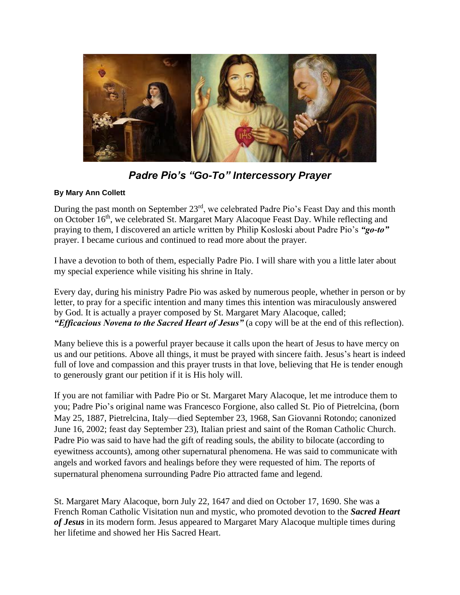

*Padre Pio's "Go-To" Intercessory Prayer*

# **By Mary Ann Collett**

During the past month on September 23<sup>rd</sup>, we celebrated Padre Pio's Feast Day and this month on October 16<sup>th</sup>, we celebrated St. Margaret Mary Alacoque Feast Day. While reflecting and praying to them, I discovered an article written by Philip Kosloski about Padre Pio's *"go-to"* prayer. I became curious and continued to read more about the prayer.

I have a devotion to both of them, especially Padre Pio. I will share with you a little later about my special experience while visiting his shrine in Italy.

Every day, during his ministry Padre Pio was asked by numerous people, whether in person or by letter, to pray for a specific intention and many times this intention was miraculously answered by God. It is actually a prayer composed by St. Margaret Mary Alacoque, called; *"Efficacious Novena to the Sacred Heart of Jesus"* (a copy will be at the end of this reflection).

Many believe this is a powerful prayer because it calls upon the heart of Jesus to have mercy on us and our petitions. Above all things, it must be prayed with sincere faith. Jesus's heart is indeed full of love and compassion and this prayer trusts in that love, believing that He is tender enough to generously grant our petition if it is His holy will.

If you are not familiar with Padre Pio or St. Margaret Mary Alacoque, let me introduce them to you; Padre Pio's original name was Francesco Forgione, also called St. Pio of Pietrelcina, (born May 25, 1887, Pietrelcina, Italy—died September 23, 1968, San Giovanni Rotondo; canonized June 16, 2002; feast day September 23), Italian priest and saint of the Roman Catholic Church. Padre Pio was said to have had the gift of reading souls, the ability to bilocate (according to eyewitness accounts), among other supernatural phenomena. He was said to communicate with angels and worked favors and healings before they were requested of him. The reports of supernatural phenomena surrounding Padre Pio attracted fame and legend.

St. Margaret Mary Alacoque, born July 22, 1647 and died on October 17, 1690. She was a French Roman Catholic Visitation nun and mystic, who promoted devotion to the *Sacred Heart of Jesus* in its modern form. Jesus appeared to Margaret Mary Alacoque multiple times during her lifetime and showed her His Sacred Heart.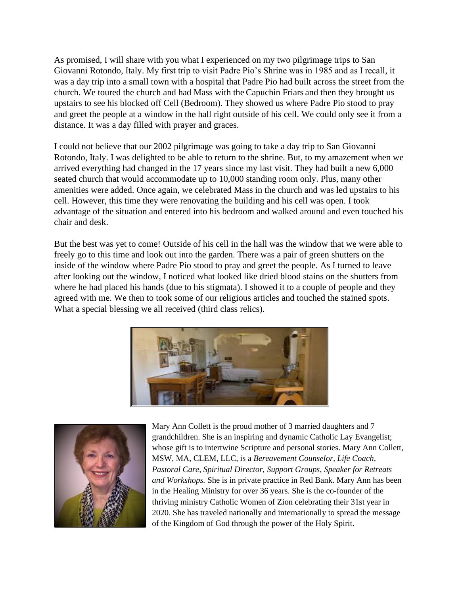As promised, I will share with you what I experienced on my two pilgrimage trips to San Giovanni Rotondo, Italy. My first trip to visit Padre Pio's Shrine was in 1985 and as I recall, it was a day trip into a small town with a hospital that Padre Pio had built across the street from the church. We toured the church and had Mass with the Capuchin Friars and then they brought us upstairs to see his blocked off Cell (Bedroom). They showed us where Padre Pio stood to pray and greet the people at a window in the hall right outside of his cell. We could only see it from a distance. It was a day filled with prayer and graces.

I could not believe that our 2002 pilgrimage was going to take a day trip to San Giovanni Rotondo, Italy. I was delighted to be able to return to the shrine. But, to my amazement when we arrived everything had changed in the 17 years since my last visit. They had built a new 6,000 seated church that would accommodate up to 10,000 standing room only. Plus, many other amenities were added. Once again, we celebrated Mass in the church and was led upstairs to his cell. However, this time they were renovating the building and his cell was open. I took advantage of the situation and entered into his bedroom and walked around and even touched his chair and desk.

But the best was yet to come! Outside of his cell in the hall was the window that we were able to freely go to this time and look out into the garden. There was a pair of green shutters on the inside of the window where Padre Pio stood to pray and greet the people. As I turned to leave after looking out the window, I noticed what looked like dried blood stains on the shutters from where he had placed his hands (due to his stigmata). I showed it to a couple of people and they agreed with me. We then to took some of our religious articles and touched the stained spots. What a special blessing we all received (third class relics).





Mary Ann Collett is the proud mother of 3 married daughters and 7 grandchildren. She is an inspiring and dynamic Catholic Lay Evangelist; whose gift is to intertwine Scripture and personal stories. Mary Ann Collett, MSW, MA, CLEM, LLC, is a *Bereavement Counselor, Life Coach, Pastoral Care, Spiritual Director, Support Groups, Speaker for Retreats and Workshops.* She is in private practice in Red Bank. Mary Ann has been in the Healing Ministry for over 36 years. She is the co-founder of the thriving ministry Catholic Women of Zion celebrating their 31st year in 2020. She has traveled nationally and internationally to spread the message of the Kingdom of God through the power of the Holy Spirit.